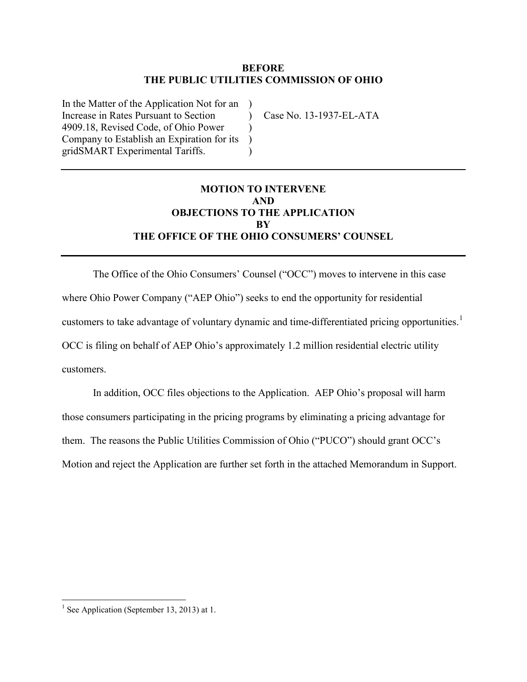#### **BEFORE THE PUBLIC UTILITIES COMMISSION OF OHIO**

 $\lambda$ )  $\lambda$ )

In the Matter of the Application Not for an ) Increase in Rates Pursuant to Section 4909.18, Revised Code, of Ohio Power Company to Establish an Expiration for its gridSMART Experimental Tariffs.

Case No. 13-1937-EL-ATA

# **MOTION TO INTERVENE AND OBJECTIONS TO THE APPLICATION BY THE OFFICE OF THE OHIO CONSUMERS' COUNSEL**

The Office of the Ohio Consumers' Counsel ("OCC") moves to intervene in this case where Ohio Power Company ("AEP Ohio") seeks to end the opportunity for residential customers to take advantage of voluntary dynamic and time-differentiated pricing opportunities. [1](#page-0-0) OCC is filing on behalf of AEP Ohio's approximately 1.2 million residential electric utility customers.

In addition, OCC files objections to the Application. AEP Ohio's proposal will harm those consumers participating in the pricing programs by eliminating a pricing advantage for them. The reasons the Public Utilities Commission of Ohio ("PUCO") should grant OCC's Motion and reject the Application are further set forth in the attached Memorandum in Support.

<span id="page-0-0"></span><sup>&</sup>lt;sup>1</sup> See Application (September 13, 2013) at 1.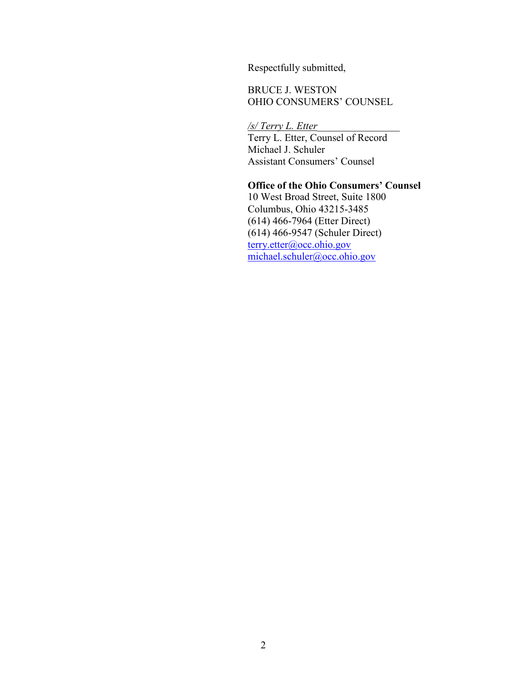Respectfully submitted,

BRUCE J. WESTON OHIO CONSUMERS' COUNSEL

*/s/ Terry L. Etter*\_\_\_\_\_\_\_\_\_\_\_\_\_\_\_\_

Terry L. Etter, Counsel of Record Michael J. Schuler Assistant Consumers' Counsel

## **Office of the Ohio Consumers' Counsel**

10 West Broad Street, Suite 1800 Columbus, Ohio 43215-3485 (614) 466-7964 (Etter Direct) (614) 466-9547 (Schuler Direct) [terry.etter@occ.ohio.gov](mailto:terry.etter@occ.ohio.gov) [michael.schuler@occ.ohio.gov](mailto:michael.schuler@occ.ohio.gov)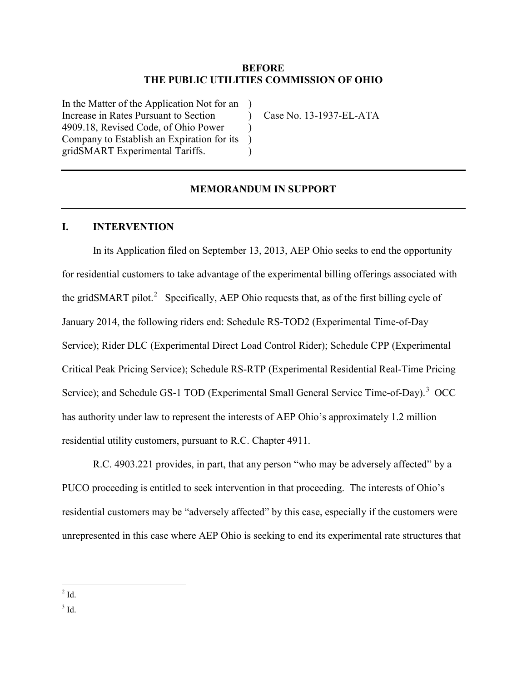#### **BEFORE THE PUBLIC UTILITIES COMMISSION OF OHIO**

 $\lambda$ )  $\lambda$ )

In the Matter of the Application Not for an ) Increase in Rates Pursuant to Section 4909.18, Revised Code, of Ohio Power Company to Establish an Expiration for its gridSMART Experimental Tariffs.

Case No. 13-1937-EL-ATA

#### **MEMORANDUM IN SUPPORT**

#### **I. INTERVENTION**

In its Application filed on September 13, 2013, AEP Ohio seeks to end the opportunity for residential customers to take advantage of the experimental billing offerings associated with the gridSMART pilot.<sup>[2](#page-2-1)</sup> Specifically, AEP Ohio requests that, as of the first billing cycle of January 2014, the following riders end: Schedule RS-TOD2 (Experimental Time-of-Day Service); Rider DLC (Experimental Direct Load Control Rider); Schedule CPP (Experimental Critical Peak Pricing Service); Schedule RS-RTP (Experimental Residential Real-Time Pricing Service); and Schedule GS-1 TOD (Experimental Small General Service Time-of-Day).<sup>[3](#page-2-0)</sup> OCC has authority under law to represent the interests of AEP Ohio's approximately 1.2 million residential utility customers, pursuant to R.C. Chapter 4911.

R.C. 4903.221 provides, in part, that any person "who may be adversely affected" by a PUCO proceeding is entitled to seek intervention in that proceeding. The interests of Ohio's residential customers may be "adversely affected" by this case, especially if the customers were unrepresented in this case where AEP Ohio is seeking to end its experimental rate structures that

<span id="page-2-0"></span> $3$  Id.

<span id="page-2-1"></span> $2$  Id.  $\overline{a}$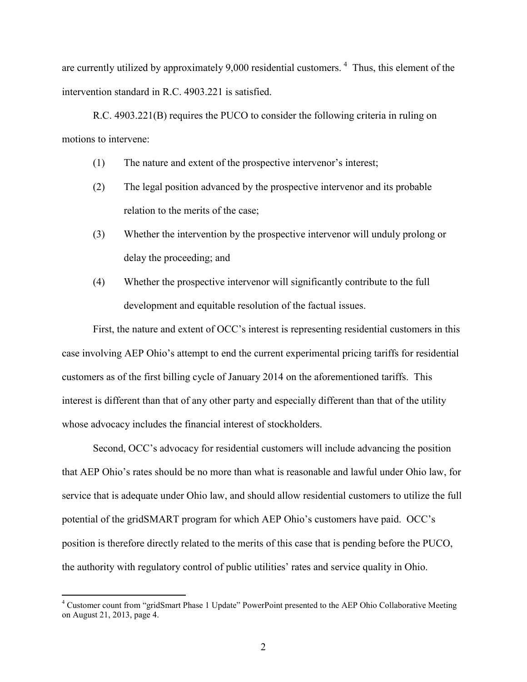are currently utilized by approximately 9,000 residential customers.<sup>[4](#page-3-0)</sup> Thus, this element of the intervention standard in R.C. 4903.221 is satisfied.

R.C. 4903.221(B) requires the PUCO to consider the following criteria in ruling on motions to intervene:

- (1) The nature and extent of the prospective intervenor's interest;
- (2) The legal position advanced by the prospective intervenor and its probable relation to the merits of the case;
- (3) Whether the intervention by the prospective intervenor will unduly prolong or delay the proceeding; and
- (4) Whether the prospective intervenor will significantly contribute to the full development and equitable resolution of the factual issues.

First, the nature and extent of OCC's interest is representing residential customers in this case involving AEP Ohio's attempt to end the current experimental pricing tariffs for residential customers as of the first billing cycle of January 2014 on the aforementioned tariffs. This interest is different than that of any other party and especially different than that of the utility whose advocacy includes the financial interest of stockholders.

Second, OCC's advocacy for residential customers will include advancing the position that AEP Ohio's rates should be no more than what is reasonable and lawful under Ohio law, for service that is adequate under Ohio law, and should allow residential customers to utilize the full potential of the gridSMART program for which AEP Ohio's customers have paid. OCC's position is therefore directly related to the merits of this case that is pending before the PUCO, the authority with regulatory control of public utilities' rates and service quality in Ohio.

<span id="page-3-0"></span><sup>&</sup>lt;sup>4</sup> Customer count from "gridSmart Phase 1 Update" PowerPoint presented to the AEP Ohio Collaborative Meeting on August 21, 2013, page 4.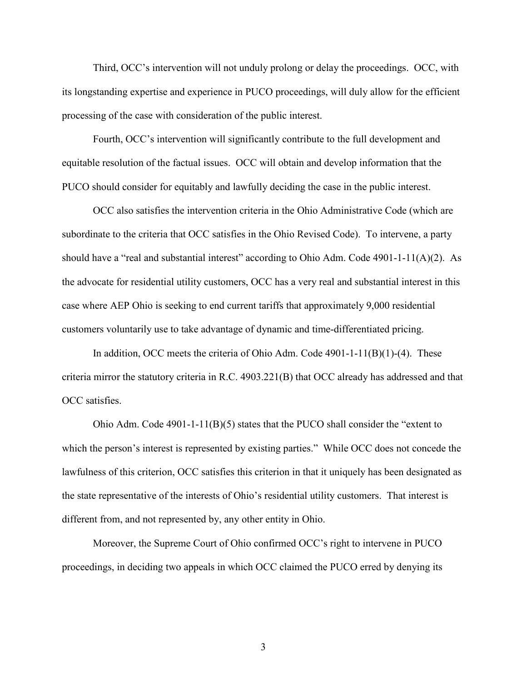Third, OCC's intervention will not unduly prolong or delay the proceedings. OCC, with its longstanding expertise and experience in PUCO proceedings, will duly allow for the efficient processing of the case with consideration of the public interest.

Fourth, OCC's intervention will significantly contribute to the full development and equitable resolution of the factual issues. OCC will obtain and develop information that the PUCO should consider for equitably and lawfully deciding the case in the public interest.

OCC also satisfies the intervention criteria in the Ohio Administrative Code (which are subordinate to the criteria that OCC satisfies in the Ohio Revised Code). To intervene, a party should have a "real and substantial interest" according to Ohio Adm. Code 4901-1-11(A)(2). As the advocate for residential utility customers, OCC has a very real and substantial interest in this case where AEP Ohio is seeking to end current tariffs that approximately 9,000 residential customers voluntarily use to take advantage of dynamic and time-differentiated pricing.

In addition, OCC meets the criteria of Ohio Adm. Code 4901-1-11(B)(1)-(4). These criteria mirror the statutory criteria in R.C. 4903.221(B) that OCC already has addressed and that OCC satisfies.

Ohio Adm. Code 4901-1-11(B)(5) states that the PUCO shall consider the "extent to which the person's interest is represented by existing parties." While OCC does not concede the lawfulness of this criterion, OCC satisfies this criterion in that it uniquely has been designated as the state representative of the interests of Ohio's residential utility customers. That interest is different from, and not represented by, any other entity in Ohio.

Moreover, the Supreme Court of Ohio confirmed OCC's right to intervene in PUCO proceedings, in deciding two appeals in which OCC claimed the PUCO erred by denying its

3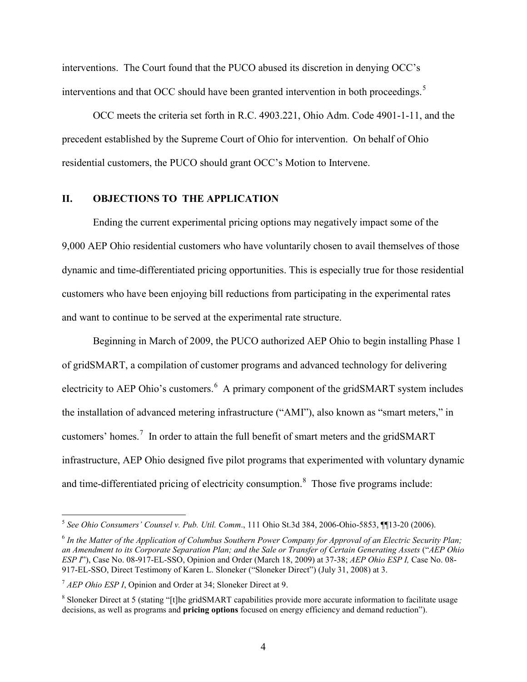interventions. The Court found that the PUCO abused its discretion in denying OCC's interventions and that OCC should have been granted intervention in both proceedings.<sup>[5](#page-5-2)</sup>

OCC meets the criteria set forth in R.C. 4903.221, Ohio Adm. Code 4901-1-11, and the precedent established by the Supreme Court of Ohio for intervention. On behalf of Ohio residential customers, the PUCO should grant OCC's Motion to Intervene.

## **II. OBJECTIONS TO THE APPLICATION**

Ending the current experimental pricing options may negatively impact some of the 9,000 AEP Ohio residential customers who have voluntarily chosen to avail themselves of those dynamic and time-differentiated pricing opportunities. This is especially true for those residential customers who have been enjoying bill reductions from participating in the experimental rates and want to continue to be served at the experimental rate structure.

Beginning in March of 2009, the PUCO authorized AEP Ohio to begin installing Phase 1 of gridSMART, a compilation of customer programs and advanced technology for delivering electricity to AEP Ohio's customers.<sup>[6](#page-5-3)</sup> A primary component of the gridSMART system includes the installation of advanced metering infrastructure ("AMI"), also known as "smart meters," in customers' homes.<sup>[7](#page-5-0)</sup> In order to attain the full benefit of smart meters and the gridSMART infrastructure, AEP Ohio designed five pilot programs that experimented with voluntary dynamic and time-differentiated pricing of electricity consumption.<sup>[8](#page-5-1)</sup> Those five programs include:

<span id="page-5-2"></span><sup>5</sup> *See Ohio Consumers' Counsel v. Pub. Util. Comm*., 111 Ohio St.3d 384, 2006-Ohio-5853, ¶¶13-20 (2006).

<span id="page-5-3"></span><sup>6</sup> *In the Matter of the Application of Columbus Southern Power Company for Approval of an Electric Security Plan; an Amendment to its Corporate Separation Plan; and the Sale or Transfer of Certain Generating Assets* ("*AEP Ohio ESP I*"), Case No. 08-917-EL-SSO, Opinion and Order (March 18, 2009) at 37-38; *AEP Ohio ESP I,* Case No. 08- 917-EL-SSO, Direct Testimony of Karen L. Sloneker ("Sloneker Direct") (July 31, 2008) at 3.

<span id="page-5-0"></span><sup>7</sup> *AEP Ohio ESP I*, Opinion and Order at 34; Sloneker Direct at 9.

<span id="page-5-1"></span><sup>8</sup> Sloneker Direct at 5 (stating "[t]he gridSMART capabilities provide more accurate information to facilitate usage decisions, as well as programs and **pricing options** focused on energy efficiency and demand reduction").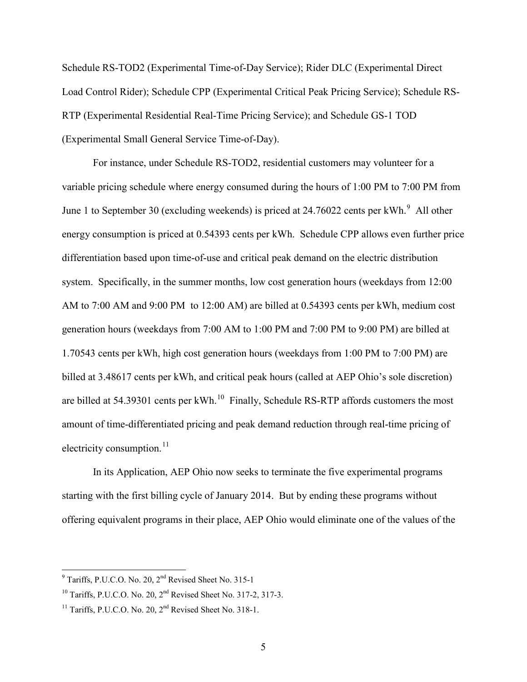Schedule RS-TOD2 (Experimental Time-of-Day Service); Rider DLC (Experimental Direct Load Control Rider); Schedule CPP (Experimental Critical Peak Pricing Service); Schedule RS-RTP (Experimental Residential Real-Time Pricing Service); and Schedule GS-1 TOD (Experimental Small General Service Time-of-Day).

For instance, under Schedule RS-TOD2, residential customers may volunteer for a variable pricing schedule where energy consumed during the hours of 1:00 PM to 7:00 PM from June 1 to September 30 (excluding weekends) is priced at  $24.76022$  cents per kWh. $^{9}$  $^{9}$  $^{9}$  All other energy consumption is priced at 0.54393 cents per kWh. Schedule CPP allows even further price differentiation based upon time-of-use and critical peak demand on the electric distribution system. Specifically, in the summer months, low cost generation hours (weekdays from 12:00 AM to 7:00 AM and 9:00 PM to 12:00 AM) are billed at 0.54393 cents per kWh, medium cost generation hours (weekdays from 7:00 AM to 1:00 PM and 7:00 PM to 9:00 PM) are billed at 1.70543 cents per kWh, high cost generation hours (weekdays from 1:00 PM to 7:00 PM) are billed at 3.48617 cents per kWh, and critical peak hours (called at AEP Ohio's sole discretion) are billed at  $54.39301$  cents per kWh.<sup>10</sup> Finally, Schedule RS-RTP affords customers the most amount of time-differentiated pricing and peak demand reduction through real-time pricing of electricity consumption. $^{11}$  $^{11}$  $^{11}$ 

In its Application, AEP Ohio now seeks to terminate the five experimental programs starting with the first billing cycle of January 2014. But by ending these programs without offering equivalent programs in their place, AEP Ohio would eliminate one of the values of the

<span id="page-6-2"></span> $9$  Tariffs, P.U.C.O. No. 20,  $2<sup>nd</sup>$  Revised Sheet No. 315-1

<span id="page-6-1"></span><sup>&</sup>lt;sup>10</sup> Tariffs, P.U.C.O. No. 20,  $2^{nd}$  Revised Sheet No. 317-2, 317-3.

<span id="page-6-0"></span><sup>&</sup>lt;sup>11</sup> Tariffs, P.U.C.O. No. 20, 2<sup>nd</sup> Revised Sheet No. 318-1.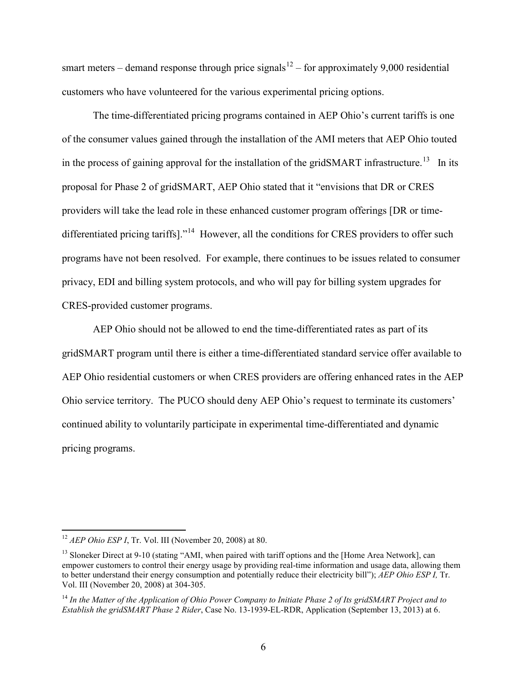smart meters – demand response through price signals<sup>[12](#page-7-2)</sup> – for approximately 9,000 residential customers who have volunteered for the various experimental pricing options.

The time-differentiated pricing programs contained in AEP Ohio's current tariffs is one of the consumer values gained through the installation of the AMI meters that AEP Ohio touted in the process of gaining approval for the installation of the gridSMART infrastructure.<sup>13</sup> In its proposal for Phase 2 of gridSMART, AEP Ohio stated that it "envisions that DR or CRES providers will take the lead role in these enhanced customer program offerings [DR or time-differentiated pricing tariffs]."<sup>[14](#page-7-0)</sup> However, all the conditions for CRES providers to offer such programs have not been resolved. For example, there continues to be issues related to consumer privacy, EDI and billing system protocols, and who will pay for billing system upgrades for CRES-provided customer programs.

AEP Ohio should not be allowed to end the time-differentiated rates as part of its gridSMART program until there is either a time-differentiated standard service offer available to AEP Ohio residential customers or when CRES providers are offering enhanced rates in the AEP Ohio service territory. The PUCO should deny AEP Ohio's request to terminate its customers' continued ability to voluntarily participate in experimental time-differentiated and dynamic pricing programs.

<span id="page-7-2"></span><sup>12</sup> *AEP Ohio ESP I*, Tr. Vol. III (November 20, 2008) at 80.

<span id="page-7-1"></span><sup>&</sup>lt;sup>13</sup> Sloneker Direct at 9-10 (stating "AMI, when paired with tariff options and the [Home Area Network], can empower customers to control their energy usage by providing real-time information and usage data, allowing them to better understand their energy consumption and potentially reduce their electricity bill"); *AEP Ohio ESP I,* Tr. Vol. III (November 20, 2008) at 304-305.

<span id="page-7-0"></span><sup>14</sup> *In the Matter of the Application of Ohio Power Company to Initiate Phase 2 of Its gridSMART Project and to Establish the gridSMART Phase 2 Rider*, Case No. 13-1939-EL-RDR, Application (September 13, 2013) at 6.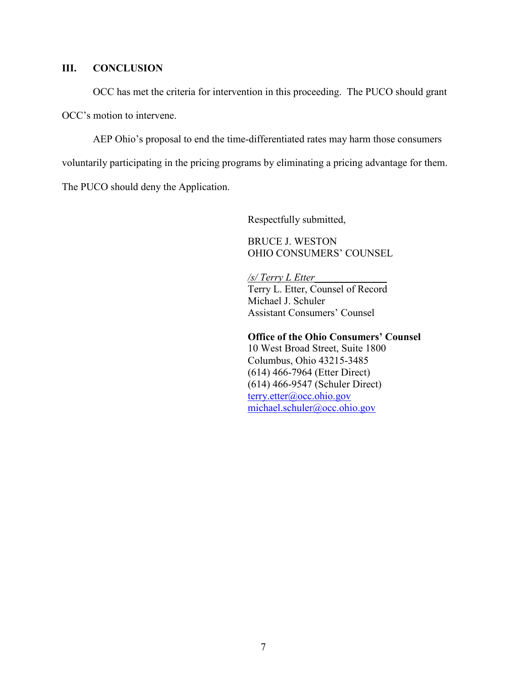## **III. CONCLUSION**

OCC has met the criteria for intervention in this proceeding. The PUCO should grant

OCC's motion to intervene.

AEP Ohio's proposal to end the time-differentiated rates may harm those consumers

voluntarily participating in the pricing programs by eliminating a pricing advantage for them.

The PUCO should deny the Application.

Respectfully submitted,

BRUCE J. WESTON OHIO CONSUMERS' COUNSEL

*/s/ Terry L Etter\_\_\_\_\_\_\_\_\_\_\_\_\_\_*

Terry L. Etter, Counsel of Record Michael J. Schuler Assistant Consumers' Counsel

#### **Office of the Ohio Consumers' Counsel**

10 West Broad Street, Suite 1800 Columbus, Ohio 43215-3485 (614) 466-7964 (Etter Direct) (614) 466-9547 (Schuler Direct) [terry.etter@occ.ohio.gov](mailto:terry.etter@occ.ohio.gov) [michael.schuler@occ.ohio.gov](mailto:michael.schuler@occ.ohio.gov)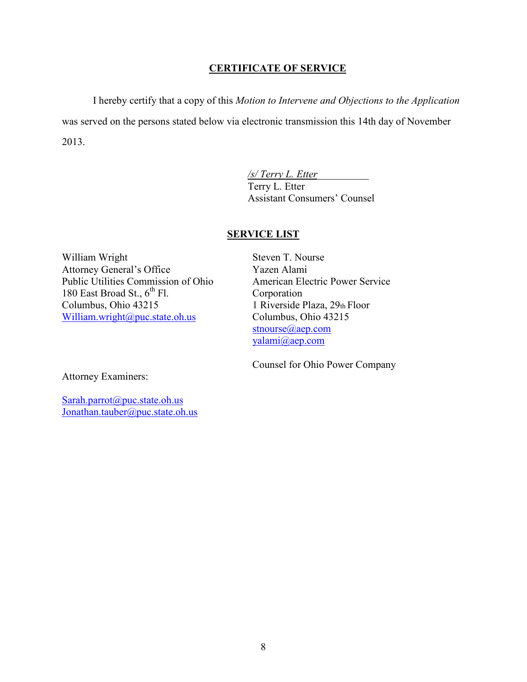## **CERTIFICATE OF SERVICE**

I hereby certify that a copy of this *Motion to Intervene and Objections to the Application* was served on the persons stated below via electronic transmission this 14th day of November 2013.

> */s/ Terry L. Etter*\_\_\_\_\_\_\_\_\_\_ Terry L. Etter Assistant Consumers' Counsel

## **SERVICE LIST**

William Wright Attorney General's Office Public Utilities Commission of Ohio 180 East Broad St.,  $6^{th}$  Fl. Columbus, Ohio 43215 [William.wright@puc.state.oh.us](mailto:William.wright@puc.state.oh.us)

Steven T. Nourse Yazen Alami American Electric Power Service Corporation 1 Riverside Plaza, 29th Floor Columbus, Ohio 43215 [stnourse@aep.com](mailto:stnourse@aep.com) [yalami@aep.com](mailto:yalami@aep.com)

Counsel for Ohio Power Company

Attorney Examiners:

[Sarah.parrot@puc.state.oh.us](mailto:Sarah.parrot@puc.state.oh.us) [Jonathan.tauber@puc.state.oh.us](mailto:Jonathan.tauber@puc.state.oh.us)